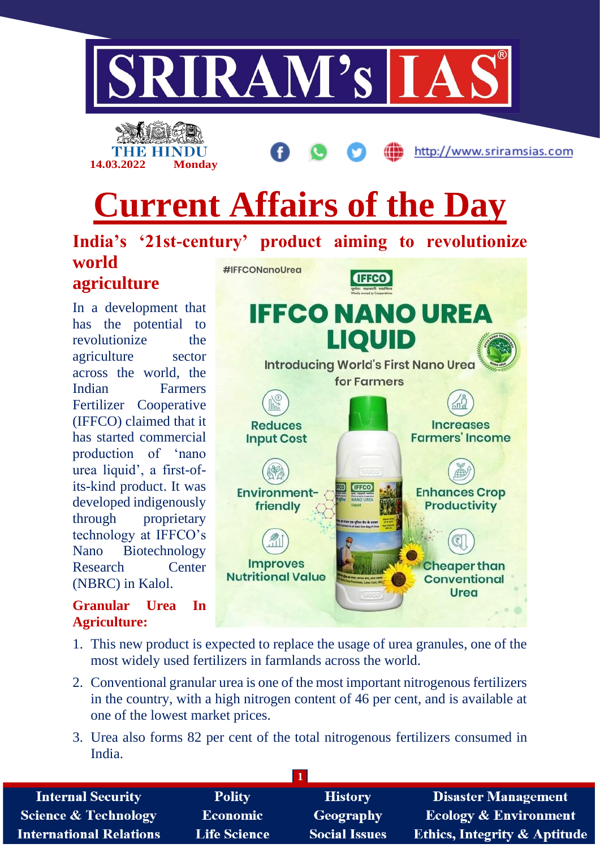





http://www.sriramsias.com

**Cheaper than** 

**Conventional** Urea

# **Current Affairs of the Day**

**India's '21st-century' product aiming to revolutionize world**  #IFFCONanoUrea **IFFCO agriculture IFFCO NANO UREA** In a development that has the potential to **LIQUID** revolutionize the agriculture sector Introducing World's First Nano Urea across the world, the for Farmers Indian Farmers Fertilizer Cooperative (IFFCO) claimed that it **Reduces Increases** has started commercial **Farmers' Income Input Cost** production of 'nano urea liquid', a first-ofits-kind product. It was **Environment-Enhances Crop** developed indigenously **Productivity** friendly through proprietary

Nano Biotechnology Research Center (NBRC) in Kalol.

technology at IFFCO's

## **Granular Urea In Agriculture:**

1. This new product is expected to replace the usage of urea granules, one of the most widely used fertilizers in farmlands across the world.

**Improves** 

**Nutritional Value** 

- 2. Conventional granular urea is one of the most important nitrogenous fertilizers in the country, with a high nitrogen content of 46 per cent, and is available at one of the lowest market prices.
- 3. Urea also forms 82 per cent of the total nitrogenous fertilizers consumed in India.

| <b>Internal Security</b>        | <b>Polity</b>       | <b>History</b>       | Disaster Management                     |
|---------------------------------|---------------------|----------------------|-----------------------------------------|
| <b>Science &amp; Technology</b> | <b>Economic</b>     | Geography            | <b>Ecology &amp; Environment</b>        |
| <b>International Relations</b>  | <b>Life Science</b> | <b>Social Issues</b> | <b>Ethics, Integrity &amp; Aptitude</b> |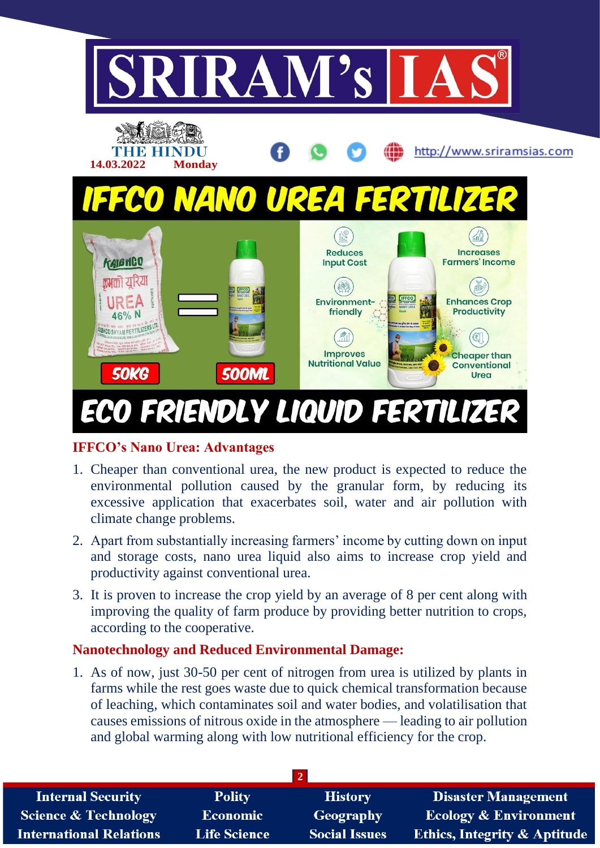

## **IFFCO's Nano Urea: Advantages**

- 1. Cheaper than conventional urea, the new product is expected to reduce the environmental pollution caused by the granular form, by reducing its excessive application that exacerbates soil, water and air pollution with climate change problems.
- 2. Apart from substantially increasing farmers' income by cutting down on input and storage costs, nano urea liquid also aims to increase crop yield and productivity against conventional urea.
- 3. It is proven to increase the crop yield by an average of 8 per cent along with improving the quality of farm produce by providing better nutrition to crops, according to the cooperative.

#### **Nanotechnology and Reduced Environmental Damage:**

1. As of now, just 30-50 per cent of nitrogen from urea is utilized by plants in farms while the rest goes waste due to quick chemical transformation because of leaching, which contaminates soil and water bodies, and volatilisation that causes emissions of nitrous oxide in the atmosphere — leading to air pollution and global warming along with low nutritional efficiency for the crop.

| <b>Internal Security</b>        | <b>Polity</b>       | <b>History</b>       | <b>Disaster Management</b>              |
|---------------------------------|---------------------|----------------------|-----------------------------------------|
| <b>Science &amp; Technology</b> | <b>Economic</b>     | Geography            | <b>Ecology &amp; Environment</b>        |
| <b>International Relations</b>  | <b>Life Science</b> | <b>Social Issues</b> | <b>Ethics, Integrity &amp; Aptitude</b> |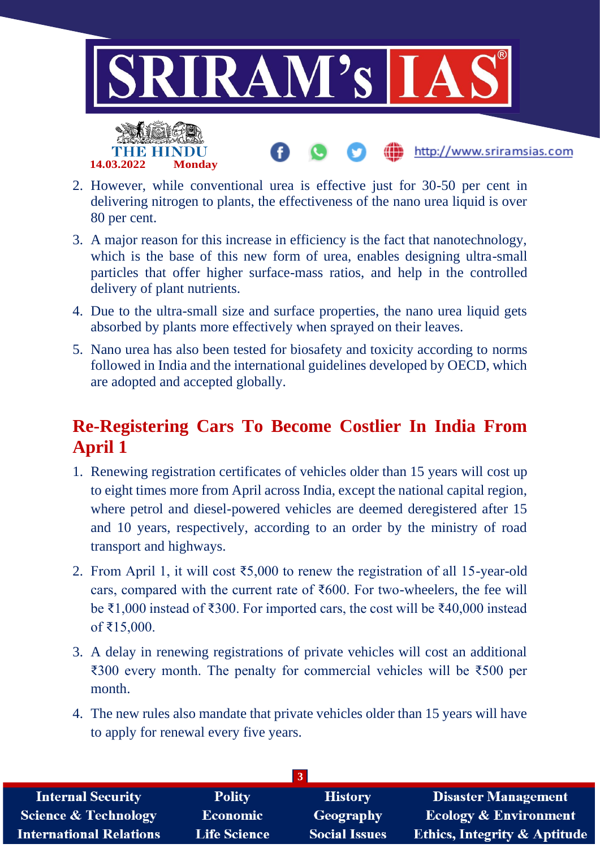

- 2. However, while conventional urea is effective just for 30-50 per cent in delivering nitrogen to plants, the effectiveness of the nano urea liquid is over 80 per cent.
- 3. A major reason for this increase in efficiency is the fact that nanotechnology, which is the base of this new form of urea, enables designing ultra-small particles that offer higher surface-mass ratios, and help in the controlled delivery of plant nutrients.
- 4. Due to the ultra-small size and surface properties, the nano urea liquid gets absorbed by plants more effectively when sprayed on their leaves.
- 5. Nano urea has also been tested for biosafety and toxicity according to norms followed in India and the international guidelines developed by OECD, which are adopted and accepted globally.

# **Re-Registering Cars To Become Costlier In India From April 1**

- 1. Renewing registration certificates of vehicles older than 15 years will cost up to eight times more from April across India, except the national capital region, where petrol and diesel-powered vehicles are deemed deregistered after 15 and 10 years, respectively, according to an order by the ministry of road transport and highways.
- 2. From April 1, it will cost ₹5,000 to renew the registration of all 15-year-old cars, compared with the current rate of  $\text{\textsterling}600$ . For two-wheelers, the fee will be ₹1,000 instead of ₹300. For imported cars, the cost will be ₹40,000 instead of ₹15,000.
- 3. A delay in renewing registrations of private vehicles will cost an additional ₹300 every month. The penalty for commercial vehicles will be ₹500 per month.
- 4. The new rules also mandate that private vehicles older than 15 years will have to apply for renewal every five years.

| <b>Internal Security</b>        | <b>Polity</b>       | <b>History</b>       | <b>Disaster Management</b>              |
|---------------------------------|---------------------|----------------------|-----------------------------------------|
| <b>Science &amp; Technology</b> | <b>Economic</b>     | Geography            | <b>Ecology &amp; Environment</b>        |
| <b>International Relations</b>  | <b>Life Science</b> | <b>Social Issues</b> | <b>Ethics, Integrity &amp; Aptitude</b> |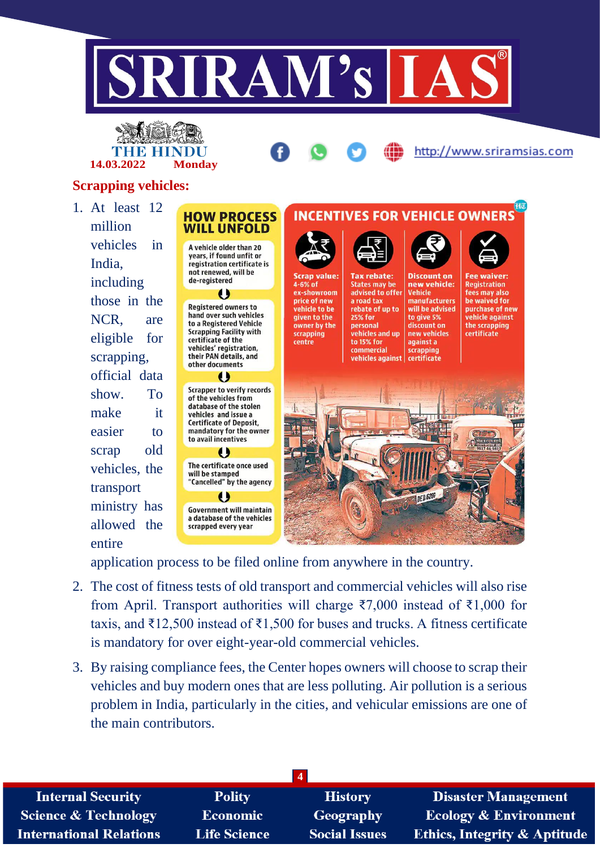



http://www.sriramsias.com

## **Scrapping vehicles:**

1. At least 12 million vehicles in India, including those in the NCR, are eligible for scrapping, official data show. To make it easier to scrap old vehicles, the transport ministry has allowed the entire



application process to be filed online from anywhere in the country.

- 2. The cost of fitness tests of old transport and commercial vehicles will also rise from April. Transport authorities will charge ₹7,000 instead of ₹1,000 for taxis, and ₹12,500 instead of ₹1,500 for buses and trucks. A fitness certificate is mandatory for over eight-year-old commercial vehicles.
- 3. By raising compliance fees, the Center hopes owners will choose to scrap their vehicles and buy modern ones that are less polluting. Air pollution is a serious problem in India, particularly in the cities, and vehicular emissions are one of the main contributors.

| <b>Internal Security</b>        | <b>Polity</b>       | <b>History</b>       | <b>Disaster Management</b>              |
|---------------------------------|---------------------|----------------------|-----------------------------------------|
| <b>Science &amp; Technology</b> | Economic            | Geography            | <b>Ecology &amp; Environment</b>        |
| <b>International Relations</b>  | <b>Life Science</b> | <b>Social Issues</b> | <b>Ethics, Integrity &amp; Aptitude</b> |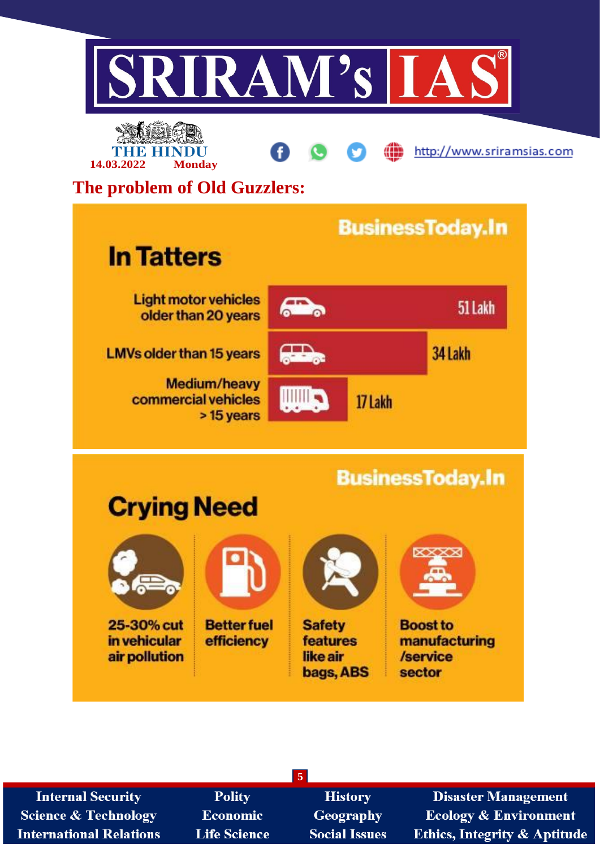



A

æ

http://www.sriramsias.com

# **The problem of Old Guzzlers:**

| <b>In Tatters</b>                                        |                   |         | <b>BusinessToday.In</b> |
|----------------------------------------------------------|-------------------|---------|-------------------------|
| <b>Light motor vehicles</b><br>older than 20 years       |                   |         | 51 Lakh                 |
| <b>LMVs older than 15 years</b>                          | <b>COMMERCIAL</b> |         | 34 Lakh                 |
| <b>Medium/heavy</b><br>commercial vehicles<br>> 15 years |                   | 17 Lakh |                         |



| <b>Internal Security</b>       | <b>Polity</b>       | <b>History</b>       | <b>Disaster Management</b>              |
|--------------------------------|---------------------|----------------------|-----------------------------------------|
| Science & Technology           | Economic            | Geography            | <b>Ecology &amp; Environment</b>        |
| <b>International Relations</b> | <b>Life Science</b> | <b>Social Issues</b> | <b>Ethics, Integrity &amp; Aptitude</b> |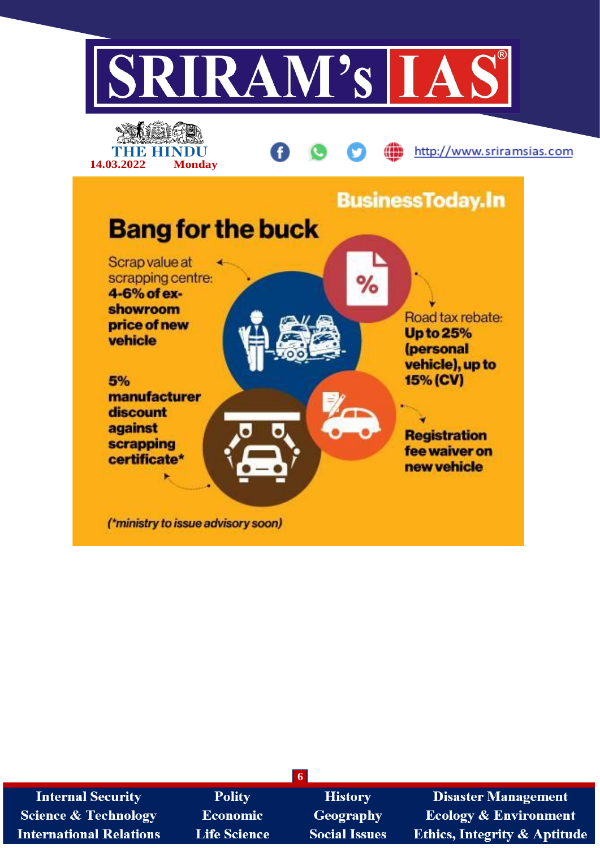

| <b>Internal Security</b>        | <b>Polity</b>       | <b>History</b>       | <b>Disaster Management</b>              |
|---------------------------------|---------------------|----------------------|-----------------------------------------|
| <b>Science &amp; Technology</b> | <b>Economic</b>     | <b>Geography</b>     | <b>Ecology &amp; Environment</b>        |
| <b>International Relations</b>  | <b>Life Science</b> | <b>Social Issues</b> | <b>Ethics, Integrity &amp; Aptitude</b> |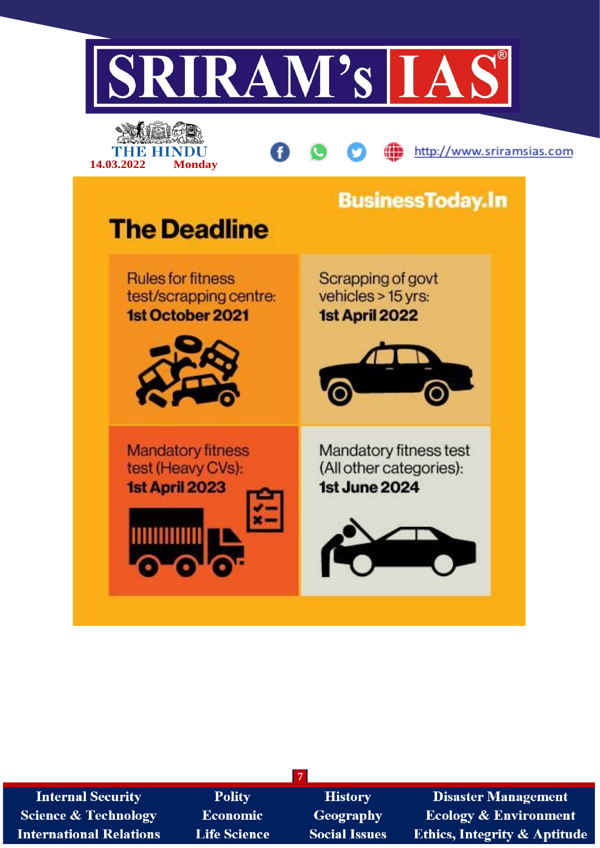

| <b>Internal Security</b>        | Po     |
|---------------------------------|--------|
| <b>Science &amp; Technology</b> | Econ   |
| <b>International Relations</b>  | Life S |

lity omic cience

**History Geography Social Issues** 

**7**

**Disaster Management Ecology & Environment Ethics, Integrity & Aptitude**